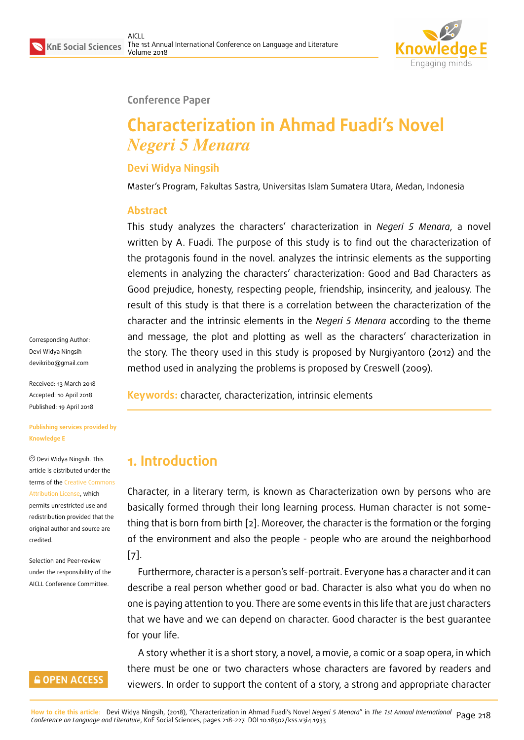

#### **Conference Paper**

# **Characterization in Ahmad Fuadi's Novel** *Negeri 5 Menara*

## **Devi Widya Ningsih**

Master's Program, Fakultas Sastra, Universitas Islam Sumatera Utara, Medan, Indonesia

#### **Abstract**

This study analyzes the characters' characterization in *Negeri 5 Menara*, a novel written by A. Fuadi. The purpose of this study is to find out the characterization of the protagonis found in the novel. analyzes the intrinsic elements as the supporting elements in analyzing the characters' characterization: Good and Bad Characters as Good prejudice, honesty, respecting people, friendship, insincerity, and jealousy. The result of this study is that there is a correlation between the characterization of the character and the intrinsic elements in the *Negeri 5 Menara* according to the theme and message, the plot and plotting as well as the characters' characterization in the story. The theory used in this study is proposed by Nurgiyantoro (2012) and the method used in analyzing the problems is proposed by Creswell (2009).

Corresponding Author: Devi Widya Ningsih devikribo@gmail.com

Received: 13 March 2018 Accepted: 10 April 2018 [Published: 19 April 201](mailto:devikribo@gmail.com)8

#### **Publishing services provided by Knowledge E**

Devi Widya Ningsih. This article is distributed under the terms of the Creative Commons Attribution License, which permits unrestricted use and redistribution provided that the original auth[or and source are](https://creativecommons.org/licenses/by/4.0/) [credited.](https://creativecommons.org/licenses/by/4.0/)

Selection and Peer-review under the responsibility of the AICLL Conference Committee.

#### **GOPEN ACCESS**

**Keywords:** character, characterization, intrinsic elements

## **1. Introduction**

Character, in a literary term, is known as Characterization own by persons who are basically formed through their long learning process. Human character is not something that is born from birth [2]. Moreover, the character is the formation or the forging of the environment and also the people - people who are around the neighborhood [7].

Furthermore, character is [a p](#page-9-0)erson's self-portrait. Everyone has a character and it can describe a real person whether good or bad. Character is also what you do when no [on](#page-9-1)e is paying attention to you. There are some events in this life that are just characters that we have and we can depend on character. Good character is the best guarantee for your life.

A story whether it is a short story, a novel, a movie, a comic or a soap opera, in which there must be one or two characters whose characters are favored by readers and viewers. In order to support the content of a story, a strong and appropriate character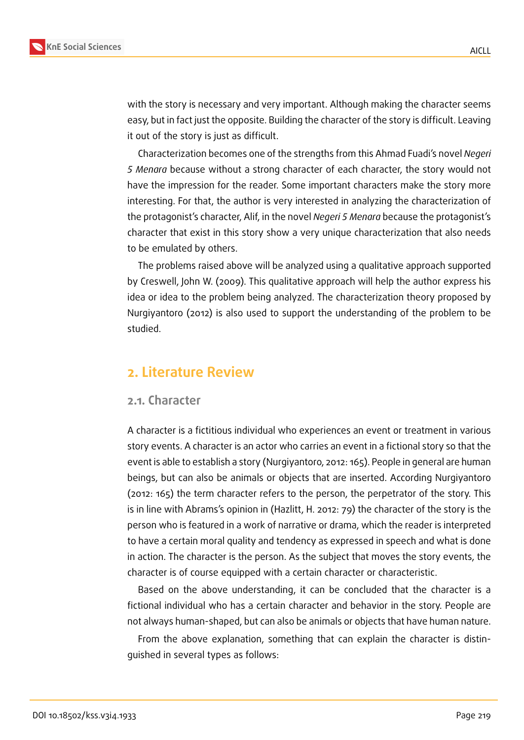

with the story is necessary and very important. Although making the character seems easy, but in fact just the opposite. Building the character of the story is difficult. Leaving it out of the story is just as difficult.

Characterization becomes one of the strengths from this Ahmad Fuadi's novel *Negeri 5 Menara* because without a strong character of each character, the story would not have the impression for the reader. Some important characters make the story more interesting. For that, the author is very interested in analyzing the characterization of the protagonist's character, Alif, in the novel *Negeri 5 Menara* because the protagonist's character that exist in this story show a very unique characterization that also needs to be emulated by others.

The problems raised above will be analyzed using a qualitative approach supported by Creswell, John W. (2009). This qualitative approach will help the author express his idea or idea to the problem being analyzed. The characterization theory proposed by Nurgiyantoro (2012) is also used to support the understanding of the problem to be studied.

## **2. Literature Review**

#### **2.1. Character**

A character is a fictitious individual who experiences an event or treatment in various story events. A character is an actor who carries an event in a fictional story so that the event is able to establish a story (Nurgiyantoro, 2012: 165). People in general are human beings, but can also be animals or objects that are inserted. According Nurgiyantoro (2012: 165) the term character refers to the person, the perpetrator of the story. This is in line with Abrams's opinion in (Hazlitt, H. 2012: 79) the character of the story is the person who is featured in a work of narrative or drama, which the reader is interpreted to have a certain moral quality and tendency as expressed in speech and what is done in action. The character is the person. As the subject that moves the story events, the character is of course equipped with a certain character or characteristic.

Based on the above understanding, it can be concluded that the character is a fictional individual who has a certain character and behavior in the story. People are not always human-shaped, but can also be animals or objects that have human nature.

From the above explanation, something that can explain the character is distinguished in several types as follows: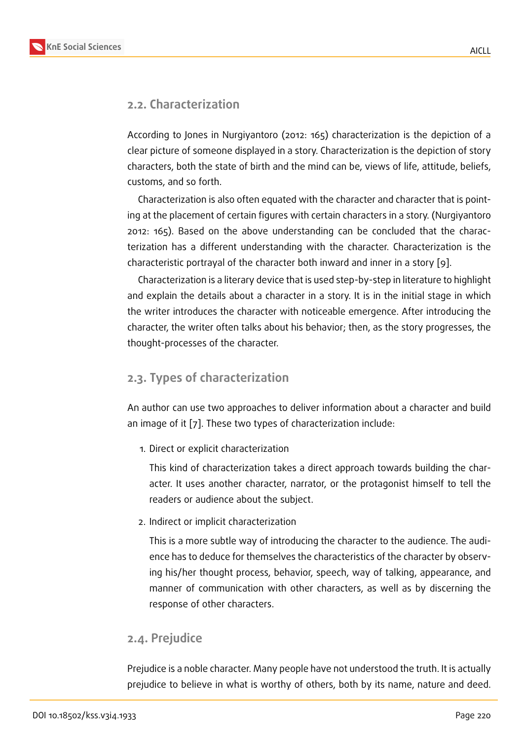#### **2.2. Characterization**

According to Jones in Nurgiyantoro (2012: 165) characterization is the depiction of a clear picture of someone displayed in a story. Characterization is the depiction of story characters, both the state of birth and the mind can be, views of life, attitude, beliefs, customs, and so forth.

Characterization is also often equated with the character and character that is pointing at the placement of certain figures with certain characters in a story. (Nurgiyantoro 2012: 165). Based on the above understanding can be concluded that the characterization has a different understanding with the character. Characterization is the characteristic portrayal of the character both inward and inner in a story [9].

Characterization is a literary device that is used step-by-step in literature to highlight and explain the details about a character in a story. It is in the initial stage in which the writer introduces the character with noticeable emergence. After int[ro](#page-9-2)ducing the character, the writer often talks about his behavior; then, as the story progresses, the thought-processes of the character.

#### **2.3. Types of characterization**

An author can use two approaches to deliver information about a character and build an image of it [7]. These two types of characterization include:

1. Direct or explicit characterization

This kind [of](#page-9-1) characterization takes a direct approach towards building the character. It uses another character, narrator, or the protagonist himself to tell the readers or audience about the subject.

2. Indirect or implicit characterization

This is a more subtle way of introducing the character to the audience. The audience has to deduce for themselves the characteristics of the character by observing his/her thought process, behavior, speech, way of talking, appearance, and manner of communication with other characters, as well as by discerning the response of other characters.

### **2.4. Prejudice**

Prejudice is a noble character. Many people have not understood the truth. It is actually prejudice to believe in what is worthy of others, both by its name, nature and deed.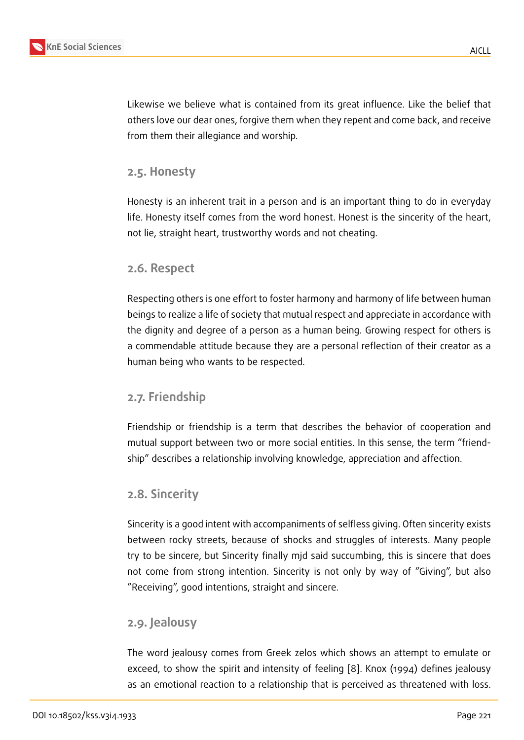Likewise we believe what is contained from its great influence. Like the belief that others love our dear ones, forgive them when they repent and come back, and receive from them their allegiance and worship.

#### **2.5. Honesty**

Honesty is an inherent trait in a person and is an important thing to do in everyday life. Honesty itself comes from the word honest. Honest is the sincerity of the heart, not lie, straight heart, trustworthy words and not cheating.

#### **2.6. Respect**

Respecting others is one effort to foster harmony and harmony of life between human beings to realize a life of society that mutual respect and appreciate in accordance with the dignity and degree of a person as a human being. Growing respect for others is a commendable attitude because they are a personal reflection of their creator as a human being who wants to be respected.

#### **2.7. Friendship**

Friendship or friendship is a term that describes the behavior of cooperation and mutual support between two or more social entities. In this sense, the term "friendship" describes a relationship involving knowledge, appreciation and affection.

### **2.8. Sincerity**

Sincerity is a good intent with accompaniments of selfless giving. Often sincerity exists between rocky streets, because of shocks and struggles of interests. Many people try to be sincere, but Sincerity finally mjd said succumbing, this is sincere that does not come from strong intention. Sincerity is not only by way of "Giving", but also "Receiving", good intentions, straight and sincere.

#### **2.9. Jealousy**

The word jealousy comes from Greek zelos which shows an attempt to emulate or exceed, to show the spirit and intensity of feeling [8]. Knox (1994) defines jealousy as an emotional reaction to a relationship that is perceived as threatened with loss.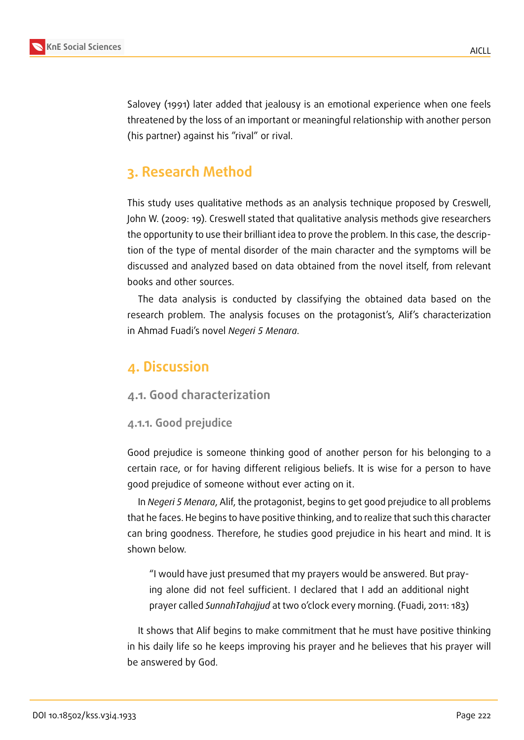

Salovey (1991) later added that jealousy is an emotional experience when one feels threatened by the loss of an important or meaningful relationship with another person (his partner) against his "rival" or rival.

# **3. Research Method**

This study uses qualitative methods as an analysis technique proposed by Creswell, John W. (2009: 19). Creswell stated that qualitative analysis methods give researchers the opportunity to use their brilliant idea to prove the problem. In this case, the description of the type of mental disorder of the main character and the symptoms will be discussed and analyzed based on data obtained from the novel itself, from relevant books and other sources.

The data analysis is conducted by classifying the obtained data based on the research problem. The analysis focuses on the protagonist's, Alif's characterization in Ahmad Fuadi's novel *Negeri 5 Menara*.

## **4. Discussion**

#### **4.1. Good characterization**

#### **4.1.1. Good prejudice**

Good prejudice is someone thinking good of another person for his belonging to a certain race, or for having different religious beliefs. It is wise for a person to have good prejudice of someone without ever acting on it.

In *Negeri 5 Menara*, Alif, the protagonist, begins to get good prejudice to all problems that he faces. He begins to have positive thinking, and to realize that such this character can bring goodness. Therefore, he studies good prejudice in his heart and mind. It is shown below.

"I would have just presumed that my prayers would be answered. But praying alone did not feel sufficient. I declared that I add an additional night prayer called *SunnahTahajjud* at two o'clock every morning. (Fuadi, 2011: 183)

It shows that Alif begins to make commitment that he must have positive thinking in his daily life so he keeps improving his prayer and he believes that his prayer will be answered by God.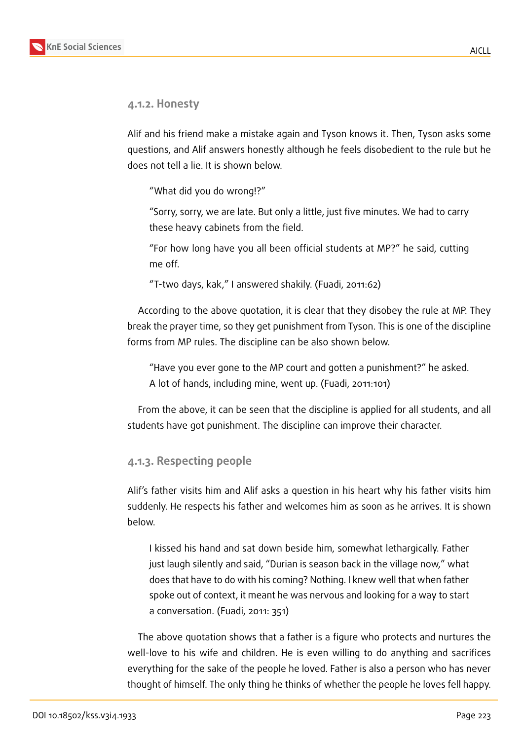#### **4.1.2. Honesty**

Alif and his friend make a mistake again and Tyson knows it. Then, Tyson asks some questions, and Alif answers honestly although he feels disobedient to the rule but he does not tell a lie. It is shown below.

"What did you do wrong!?"

"Sorry, sorry, we are late. But only a little, just five minutes. We had to carry these heavy cabinets from the field.

"For how long have you all been official students at MP?" he said, cutting me off.

"T-two days, kak," I answered shakily. (Fuadi, 2011:62)

According to the above quotation, it is clear that they disobey the rule at MP. They break the prayer time, so they get punishment from Tyson. This is one of the discipline forms from MP rules. The discipline can be also shown below.

"Have you ever gone to the MP court and gotten a punishment?" he asked. A lot of hands, including mine, went up. (Fuadi, 2011:101)

From the above, it can be seen that the discipline is applied for all students, and all students have got punishment. The discipline can improve their character.

**4.1.3. Respecting people**

Alif's father visits him and Alif asks a question in his heart why his father visits him suddenly. He respects his father and welcomes him as soon as he arrives. It is shown below.

I kissed his hand and sat down beside him, somewhat lethargically. Father just laugh silently and said, "Durian is season back in the village now," what does that have to do with his coming? Nothing. I knew well that when father spoke out of context, it meant he was nervous and looking for a way to start a conversation. (Fuadi, 2011: 351)

The above quotation shows that a father is a figure who protects and nurtures the well-love to his wife and children. He is even willing to do anything and sacrifices everything for the sake of the people he loved. Father is also a person who has never thought of himself. The only thing he thinks of whether the people he loves fell happy.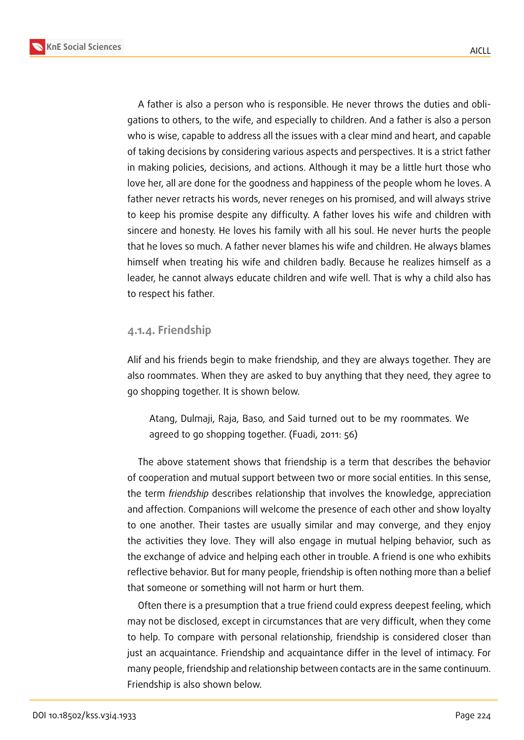

A father is also a person who is responsible. He never throws the duties and obligations to others, to the wife, and especially to children. And a father is also a person who is wise, capable to address all the issues with a clear mind and heart, and capable of taking decisions by considering various aspects and perspectives. It is a strict father in making policies, decisions, and actions. Although it may be a little hurt those who love her, all are done for the goodness and happiness of the people whom he loves. A father never retracts his words, never reneges on his promised, and will always strive to keep his promise despite any difficulty. A father loves his wife and children with sincere and honesty. He loves his family with all his soul. He never hurts the people that he loves so much. A father never blames his wife and children. He always blames himself when treating his wife and children badly. Because he realizes himself as a leader, he cannot always educate children and wife well. That is why a child also has to respect his father.

#### **4.1.4. Friendship**

Alif and his friends begin to make friendship, and they are always together. They are also roommates. When they are asked to buy anything that they need, they agree to go shopping together. It is shown below.

Atang, Dulmaji, Raja, Baso, and Said turned out to be my roommates. We agreed to go shopping together. (Fuadi, 2011: 56)

The above statement shows that friendship is a term that describes the behavior of cooperation and mutual support between two or more social entities. In this sense, the term *friendship* describes relationship that involves the knowledge, appreciation and affection. Companions will welcome the presence of each other and show loyalty to one another. Their tastes are usually similar and may converge, and they enjoy the activities they love. They will also engage in mutual helping behavior, such as the exchange of advice and helping each other in trouble. A friend is one who exhibits reflective behavior. But for many people, friendship is often nothing more than a belief that someone or something will not harm or hurt them.

Often there is a presumption that a true friend could express deepest feeling, which may not be disclosed, except in circumstances that are very difficult, when they come to help. To compare with personal relationship, friendship is considered closer than just an acquaintance. Friendship and acquaintance differ in the level of intimacy. For many people, friendship and relationship between contacts are in the same continuum. Friendship is also shown below.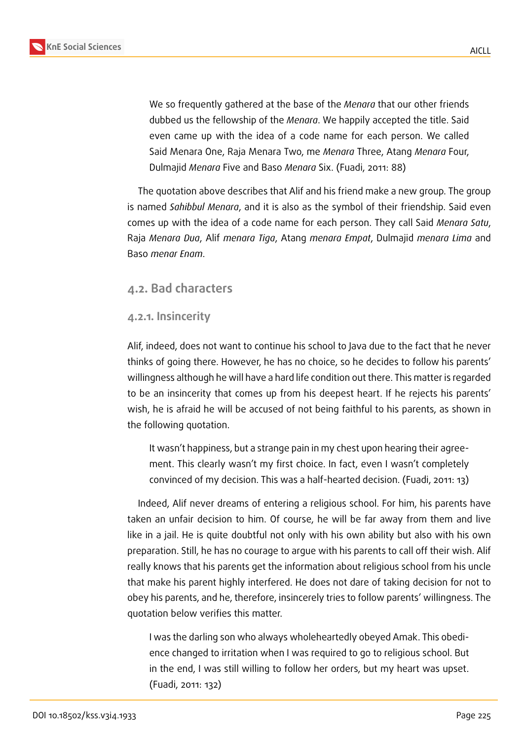

We so frequently gathered at the base of the *Menara* that our other friends dubbed us the fellowship of the *Menara*. We happily accepted the title. Said even came up with the idea of a code name for each person. We called Said Menara One, Raja Menara Two, me *Menara* Three, Atang *Menara* Four, Dulmajid *Menara* Five and Baso *Menara* Six. (Fuadi, 2011: 88)

The quotation above describes that Alif and his friend make a new group. The group is named *Sahibbul Menara*, and it is also as the symbol of their friendship. Said even comes up with the idea of a code name for each person. They call Said *Menara Satu*, Raja *Menara Dua*, Alif *menara Tiga*, Atang *menara Empat*, Dulmajid *menara Lima* and Baso *menar Enam*.

#### **4.2. Bad characters**

#### **4.2.1. Insincerity**

Alif, indeed, does not want to continue his school to Java due to the fact that he never thinks of going there. However, he has no choice, so he decides to follow his parents' willingness although he will have a hard life condition out there. This matter is regarded to be an insincerity that comes up from his deepest heart. If he rejects his parents' wish, he is afraid he will be accused of not being faithful to his parents, as shown in the following quotation.

It wasn't happiness, but a strange pain in my chest upon hearing their agreement. This clearly wasn't my first choice. In fact, even I wasn't completely convinced of my decision. This was a half-hearted decision. (Fuadi, 2011: 13)

Indeed, Alif never dreams of entering a religious school. For him, his parents have taken an unfair decision to him. Of course, he will be far away from them and live like in a jail. He is quite doubtful not only with his own ability but also with his own preparation. Still, he has no courage to argue with his parents to call off their wish. Alif really knows that his parents get the information about religious school from his uncle that make his parent highly interfered. He does not dare of taking decision for not to obey his parents, and he, therefore, insincerely tries to follow parents' willingness. The quotation below verifies this matter.

I was the darling son who always wholeheartedly obeyed Amak. This obedience changed to irritation when I was required to go to religious school. But in the end, I was still willing to follow her orders, but my heart was upset. (Fuadi, 2011: 132)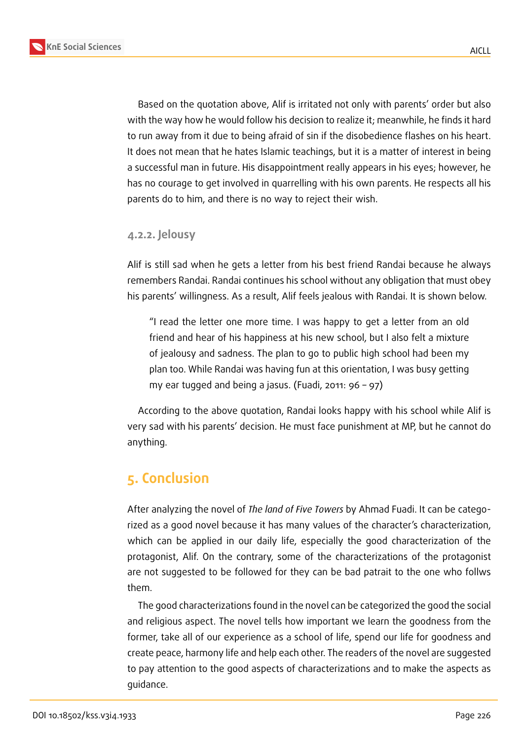

Based on the quotation above, Alif is irritated not only with parents' order but also with the way how he would follow his decision to realize it; meanwhile, he finds it hard to run away from it due to being afraid of sin if the disobedience flashes on his heart. It does not mean that he hates Islamic teachings, but it is a matter of interest in being a successful man in future. His disappointment really appears in his eyes; however, he has no courage to get involved in quarrelling with his own parents. He respects all his parents do to him, and there is no way to reject their wish.

**4.2.2. Jelousy**

Alif is still sad when he gets a letter from his best friend Randai because he always remembers Randai. Randai continues his school without any obligation that must obey his parents' willingness. As a result, Alif feels jealous with Randai. It is shown below.

"I read the letter one more time. I was happy to get a letter from an old friend and hear of his happiness at his new school, but I also felt a mixture of jealousy and sadness. The plan to go to public high school had been my plan too. While Randai was having fun at this orientation, I was busy getting my ear tugged and being a jasus. (Fuadi, 2011: 96 – 97)

According to the above quotation, Randai looks happy with his school while Alif is very sad with his parents' decision. He must face punishment at MP, but he cannot do anything.

## **5. Conclusion**

After analyzing the novel of *The land of Five Towers* by Ahmad Fuadi. It can be categorized as a good novel because it has many values of the character's characterization, which can be applied in our daily life, especially the good characterization of the protagonist, Alif. On the contrary, some of the characterizations of the protagonist are not suggested to be followed for they can be bad patrait to the one who follws them.

The good characterizations found in the novel can be categorized the good the social and religious aspect. The novel tells how important we learn the goodness from the former, take all of our experience as a school of life, spend our life for goodness and create peace, harmony life and help each other. The readers of the novel are suggested to pay attention to the good aspects of characterizations and to make the aspects as guidance.